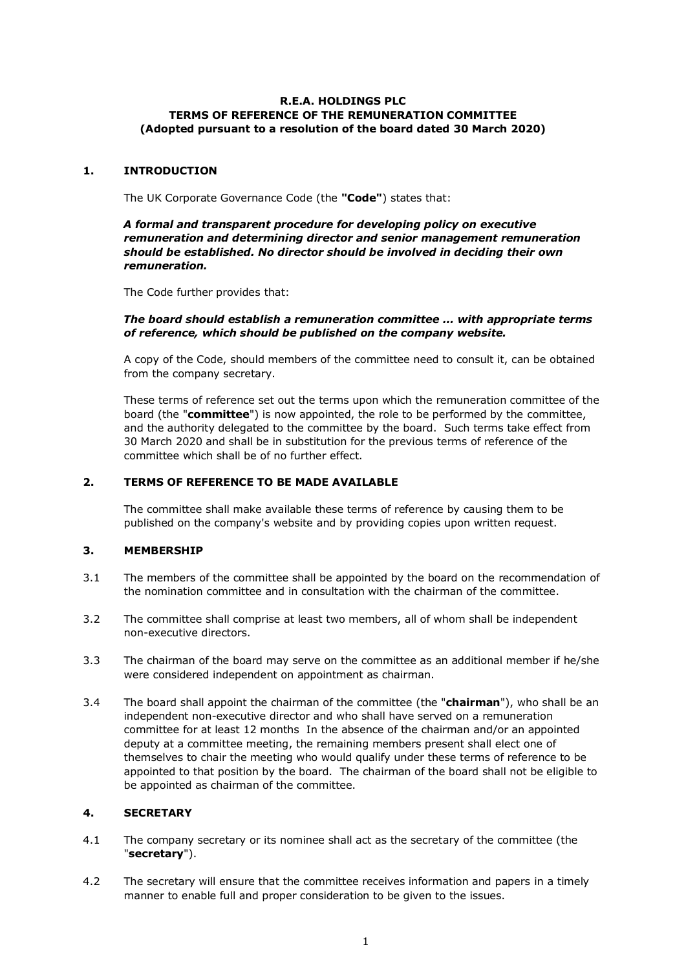#### **R.E.A. HOLDINGS PLC TERMS OF REFERENCE OF THE REMUNERATION COMMITTEE (Adopted pursuant to a resolution of the board dated 30 March 2020)**

#### **1. INTRODUCTION**

The UK Corporate Governance Code (the **"Code"**) states that:

### *A formal and transparent procedure for developing policy on executive remuneration and determining director and senior management remuneration should be established. No director should be involved in deciding their own remuneration.*

The Code further provides that:

### *The board should establish a remuneration committee … with appropriate terms of reference, which should be published on the company website.*

A copy of the Code, should members of the committee need to consult it, can be obtained from the company secretary.

These terms of reference set out the terms upon which the remuneration committee of the board (the "**committee**") is now appointed, the role to be performed by the committee, and the authority delegated to the committee by the board. Such terms take effect from 30 March 2020 and shall be in substitution for the previous terms of reference of the committee which shall be of no further effect.

## **2. TERMS OF REFERENCE TO BE MADE AVAILABLE**

The committee shall make available these terms of reference by causing them to be published on the company's website and by providing copies upon written request.

## **3. MEMBERSHIP**

- 3.1 The members of the committee shall be appointed by the board on the recommendation of the nomination committee and in consultation with the chairman of the committee.
- 3.2 The committee shall comprise at least two members, all of whom shall be independent non-executive directors.
- 3.3 The chairman of the board may serve on the committee as an additional member if he/she were considered independent on appointment as chairman.
- 3.4 The board shall appoint the chairman of the committee (the "**chairman**"), who shall be an independent non-executive director and who shall have served on a remuneration committee for at least 12 months In the absence of the chairman and/or an appointed deputy at a committee meeting, the remaining members present shall elect one of themselves to chair the meeting who would qualify under these terms of reference to be appointed to that position by the board. The chairman of the board shall not be eligible to be appointed as chairman of the committee.

# **4. SECRETARY**

- 4.1 The company secretary or its nominee shall act as the secretary of the committee (the "**secretary**").
- 4.2 The secretary will ensure that the committee receives information and papers in a timely manner to enable full and proper consideration to be given to the issues.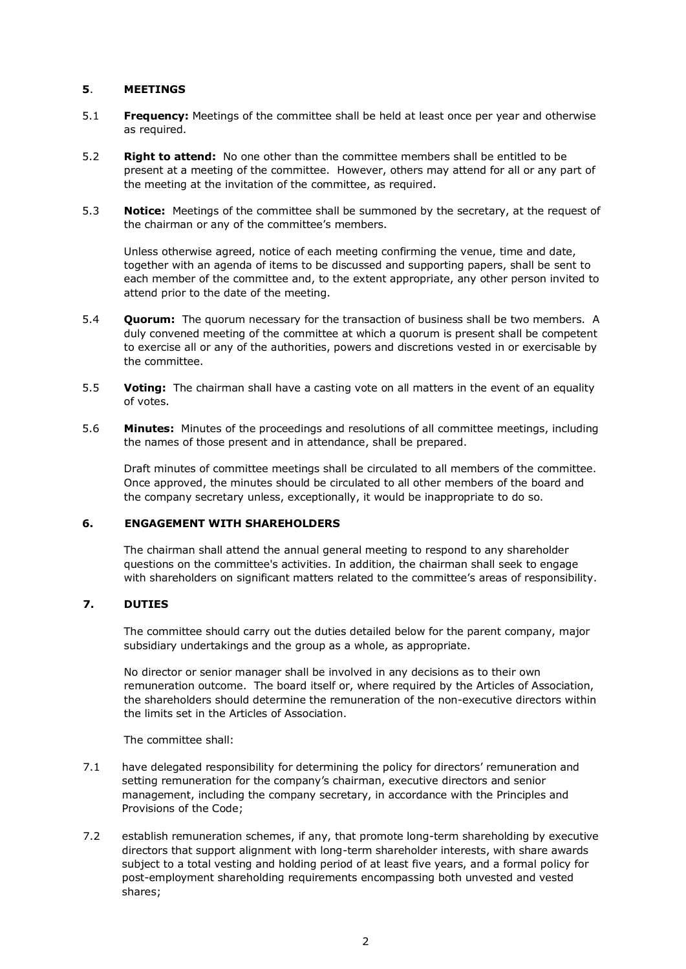### **5**. **MEETINGS**

- 5.1 **Frequency:** Meetings of the committee shall be held at least once per year and otherwise as required.
- 5.2 **Right to attend:** No one other than the committee members shall be entitled to be present at a meeting of the committee. However, others may attend for all or any part of the meeting at the invitation of the committee, as required.
- 5.3 **Notice:** Meetings of the committee shall be summoned by the secretary, at the request of the chairman or any of the committee's members.

Unless otherwise agreed, notice of each meeting confirming the venue, time and date, together with an agenda of items to be discussed and supporting papers, shall be sent to each member of the committee and, to the extent appropriate, any other person invited to attend prior to the date of the meeting.

- 5.4 **Quorum:** The quorum necessary for the transaction of business shall be two members. A duly convened meeting of the committee at which a quorum is present shall be competent to exercise all or any of the authorities, powers and discretions vested in or exercisable by the committee.
- 5.5 **Voting:** The chairman shall have a casting vote on all matters in the event of an equality of votes.
- 5.6 **Minutes:** Minutes of the proceedings and resolutions of all committee meetings, including the names of those present and in attendance, shall be prepared.

Draft minutes of committee meetings shall be circulated to all members of the committee. Once approved, the minutes should be circulated to all other members of the board and the company secretary unless, exceptionally, it would be inappropriate to do so.

### **6. ENGAGEMENT WITH SHAREHOLDERS**

The chairman shall attend the annual general meeting to respond to any shareholder questions on the committee's activities. In addition, the chairman shall seek to engage with shareholders on significant matters related to the committee's areas of responsibility.

#### **7. DUTIES**

The committee should carry out the duties detailed below for the parent company, major subsidiary undertakings and the group as a whole, as appropriate.

No director or senior manager shall be involved in any decisions as to their own remuneration outcome. The board itself or, where required by the Articles of Association, the shareholders should determine the remuneration of the non-executive directors within the limits set in the Articles of Association.

The committee shall:

- 7.1 have delegated responsibility for determining the policy for directors' remuneration and setting remuneration for the company's chairman, executive directors and senior management, including the company secretary, in accordance with the Principles and Provisions of the Code;
- 7.2 establish remuneration schemes, if any, that promote long-term shareholding by executive directors that support alignment with long-term shareholder interests, with share awards subject to a total vesting and holding period of at least five years, and a formal policy for post-employment shareholding requirements encompassing both unvested and vested shares;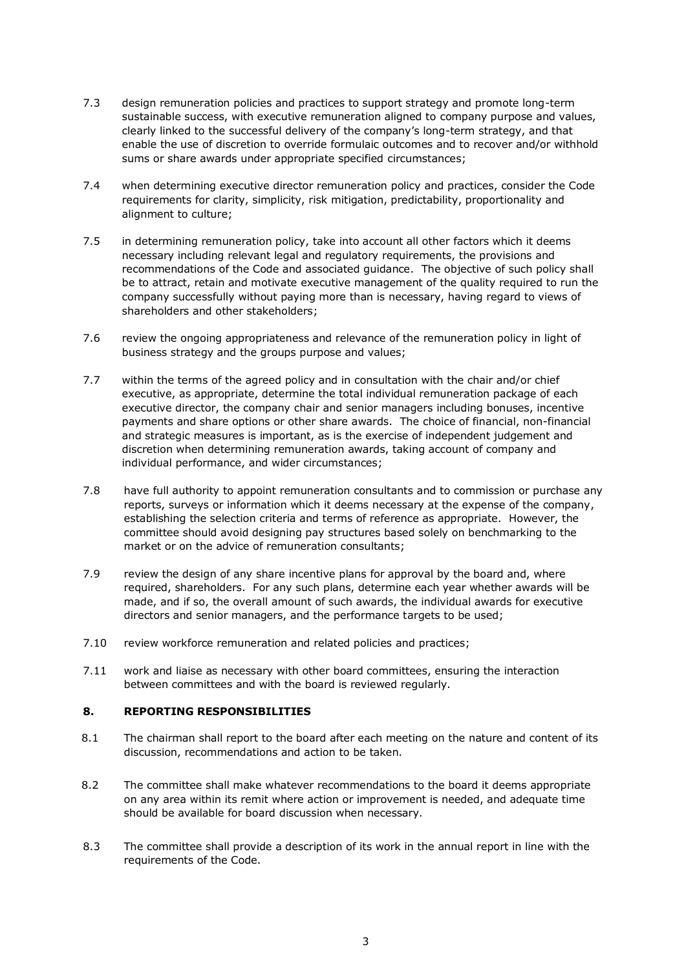- 7.3 design remuneration policies and practices to support strategy and promote long-term sustainable success, with executive remuneration aligned to company purpose and values, clearly linked to the successful delivery of the company's long-term strategy, and that enable the use of discretion to override formulaic outcomes and to recover and/or withhold sums or share awards under appropriate specified circumstances;
- 7.4 when determining executive director remuneration policy and practices, consider the Code requirements for clarity, simplicity, risk mitigation, predictability, proportionality and alignment to culture;
- 7.5 in determining remuneration policy, take into account all other factors which it deems necessary including relevant legal and regulatory requirements, the provisions and recommendations of the Code and associated guidance. The objective of such policy shall be to attract, retain and motivate executive management of the quality required to run the company successfully without paying more than is necessary, having regard to views of shareholders and other stakeholders;
- 7.6 review the ongoing appropriateness and relevance of the remuneration policy in light of business strategy and the groups purpose and values;
- 7.7 within the terms of the agreed policy and in consultation with the chair and/or chief executive, as appropriate, determine the total individual remuneration package of each executive director, the company chair and senior managers including bonuses, incentive payments and share options or other share awards. The choice of financial, non-financial and strategic measures is important, as is the exercise of independent judgement and discretion when determining remuneration awards, taking account of company and individual performance, and wider circumstances;
- 7.8 have full authority to appoint remuneration consultants and to commission or purchase any reports, surveys or information which it deems necessary at the expense of the company, establishing the selection criteria and terms of reference as appropriate. However, the committee should avoid designing pay structures based solely on benchmarking to the market or on the advice of remuneration consultants;
- 7.9 review the design of any share incentive plans for approval by the board and, where required, shareholders. For any such plans, determine each year whether awards will be made, and if so, the overall amount of such awards, the individual awards for executive directors and senior managers, and the performance targets to be used;
- 7.10 review workforce remuneration and related policies and practices;
- 7.11 work and liaise as necessary with other board committees, ensuring the interaction between committees and with the board is reviewed regularly.

## **8. REPORTING RESPONSIBILITIES**

- 8.1 The chairman shall report to the board after each meeting on the nature and content of its discussion, recommendations and action to be taken.
- 8.2 The committee shall make whatever recommendations to the board it deems appropriate on any area within its remit where action or improvement is needed, and adequate time should be available for board discussion when necessary.
- 8.3 The committee shall provide a description of its work in the annual report in line with the requirements of the Code.